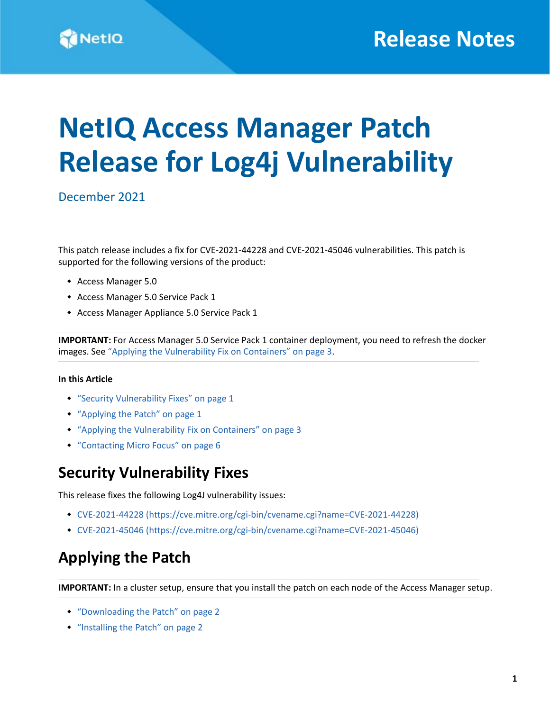# **NetIQ Access Manager Patch Release for Log4j Vulnerability**

December 2021

This patch release includes a fix for CVE-2021-44228 and CVE-2021-45046 vulnerabilities. This patch is supported for the following versions of the product:

- Access Manager 5.0
- Access Manager 5.0 Service Pack 1
- Access Manager Appliance 5.0 Service Pack 1

**IMPORTANT:** For Access Manager 5.0 Service Pack 1 container deployment, you need to refresh the docker images. See ["Applying the Vulnerability Fix on Containers" on page 3.](#page-2-0)

#### **In this Article**

- ["Security Vulnerability Fixes" on page 1](#page-0-0)
- ["Applying the Patch" on page 1](#page-0-1)
- ["Applying the Vulnerability Fix on Containers" on page 3](#page-2-0)
- ["Contacting Micro Focus" on page 6](#page-5-0)

### <span id="page-0-0"></span>**Security Vulnerability Fixes**

This release fixes the following Log4J vulnerability issues:

- [CVE-2021-44228](https://cve.mitre.org/cgi-bin/cvename.cgi?name=CVE-2021-44228) (https://cve.mitre.org/cgi-bin/cvename.cgi?name=CVE-2021-44228)
- [CVE-2021-45046](https://cve.mitre.org/cgi-bin/cvename.cgi?name=CVE-2021-45046) (https://cve.mitre.org/cgi-bin/cvename.cgi?name=CVE-2021-45046)

# <span id="page-0-1"></span>**Applying the Patch**

**IMPORTANT:** In a cluster setup, ensure that you install the patch on each node of the Access Manager setup.

- ["Downloading the Patch" on page 2](#page-1-0)
- ["Installing the Patch" on page 2](#page-1-1)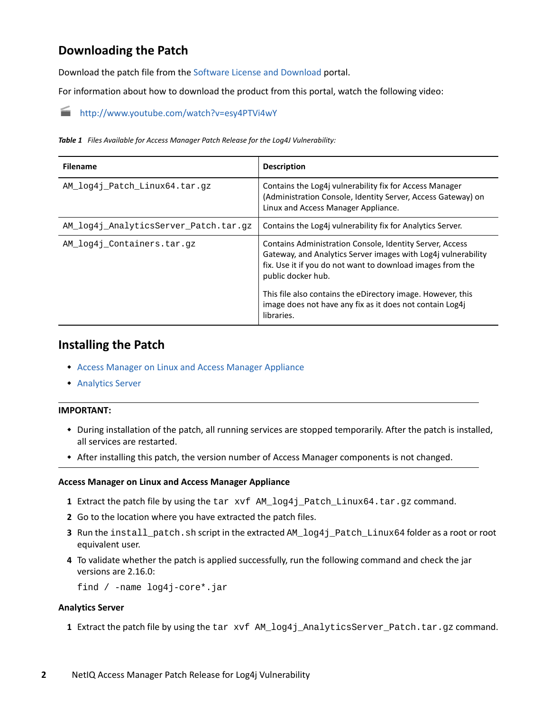### <span id="page-1-0"></span>**Downloading the Patch**

Download the patch file from the [Software License and Download p](https://sld.microfocus.com/)ortal.

For information about how to download the product from this portal, watch the following video:

#### <http://www.youtube.com/watch?v=esy4PTVi4wY>

*Table 1 Files Available for Access Manager Patch Release for the Log4J Vulnerability:*

| <b>Filename</b>                       | <b>Description</b>                                                                                                                                                                                            |
|---------------------------------------|---------------------------------------------------------------------------------------------------------------------------------------------------------------------------------------------------------------|
| AM log4j Patch Linux64.tar.gz         | Contains the Log4j vulnerability fix for Access Manager<br>(Administration Console, Identity Server, Access Gateway) on<br>Linux and Access Manager Appliance.                                                |
| AM_log4j_AnalyticsServer_Patch.tar.gz | Contains the Log4j vulnerability fix for Analytics Server.                                                                                                                                                    |
| AM_log4j_Containers.tar.gz            | Contains Administration Console, Identity Server, Access<br>Gateway, and Analytics Server images with Log4j vulnerability<br>fix. Use it if you do not want to download images from the<br>public docker hub. |
|                                       | This file also contains the eDirectory image. However, this<br>image does not have any fix as it does not contain Log4j<br>libraries.                                                                         |

### <span id="page-1-1"></span>**Installing the Patch**

- [Access Manager on Linux and Access Manager Appliance](#page-1-2)
- [Analytics Server](#page-1-3)

#### **IMPORTANT:**

- During installation of the patch, all running services are stopped temporarily. After the patch is installed, all services are restarted.
- After installing this patch, the version number of Access Manager components is not changed.

#### <span id="page-1-2"></span>**Access Manager on Linux and Access Manager Appliance**

- **1** Extract the patch file by using the tar xvf AM\_log4j\_Patch\_Linux64.tar.gz command.
- **2** Go to the location where you have extracted the patch files.
- **3** Run the install\_patch.sh script in the extracted AM\_log4j\_Patch\_Linux64 folder as a root or root equivalent user.
- **4** To validate whether the patch is applied successfully, run the following command and check the jar versions are 2.16.0:

find / -name log4j-core\*.jar

#### <span id="page-1-3"></span>**Analytics Server**

**1** Extract the patch file by using the tar xvf AM\_log4j\_AnalyticsServer\_Patch.tar.gz command.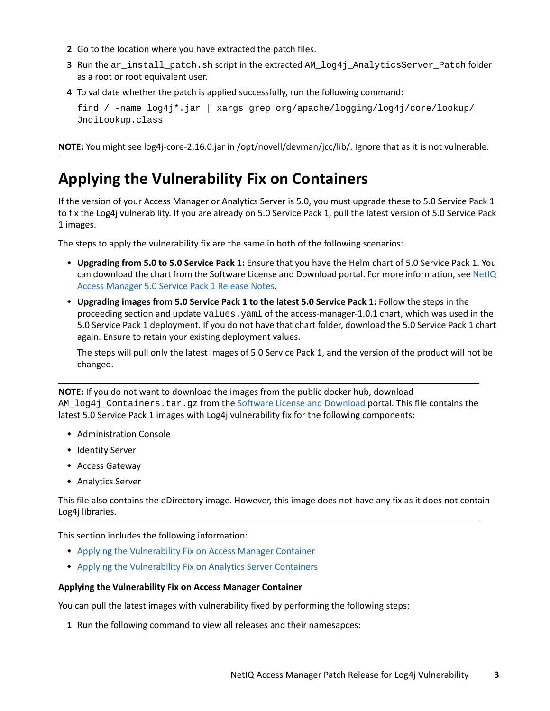- **2** Go to the location where you have extracted the patch files.
- **3** Run the ar\_install\_patch.sh script in the extracted AM\_log4j\_AnalyticsServer\_Patch folder as a root or root equivalent user.
- **4** To validate whether the patch is applied successfully, run the following command:

```
find / -name log4j*.jar | xargs grep org/apache/logging/log4j/core/lookup/
JndiLookup.class
```
**NOTE:** You might see log4j-core-2.16.0.jar in /opt/novell/devman/jcc/lib/. Ignore that as it is not vulnerable.

### <span id="page-2-0"></span>**Applying the Vulnerability Fix on Containers**

If the version of your Access Manager or Analytics Server is 5.0, you must upgrade these to 5.0 Service Pack 1 to fix the Log4j vulnerability. If you are already on 5.0 Service Pack 1, pull the latest version of 5.0 Service Pack 1 images.

The steps to apply the vulnerability fix are the same in both of the following scenarios:

- **Upgrading from 5.0 to 5.0 Service Pack 1:** Ensure that you have the Helm chart of 5.0 Service Pack 1. You can download the chart from the Software License and Download portal. For more information, see [NetIQ](https://www.microfocus.com/documentation/access-manager/5.0/accessmanager501-release-notes/accessmanager501-release-notes.html)  [Access Manager 5.0 Service Pack 1 Release Notes.](https://www.microfocus.com/documentation/access-manager/5.0/accessmanager501-release-notes/accessmanager501-release-notes.html)
- **Upgrading images from 5.0 Service Pack 1 to the latest 5.0 Service Pack 1:** Follow the steps in the proceeding section and update values.yaml of the access-manager-1.0.1 chart, which was used in the 5.0 Service Pack 1 deployment. If you do not have that chart folder, download the 5.0 Service Pack 1 chart again. Ensure to retain your existing deployment values.

The steps will pull only the latest images of 5.0 Service Pack 1, and the version of the product will not be changed.

**NOTE:** If you do not want to download the images from the public docker hub, download AM  $log4j$  Containers.tar.gz from the [Software License and Download](https://sld.microfocus.com/) portal. This file contains the latest 5.0 Service Pack 1 images with Log4j vulnerability fix for the following components:

- Administration Console
- **+ Identity Server**
- Access Gateway
- Analytics Server

This file also contains the eDirectory image. However, this image does not have any fix as it does not contain Log4j libraries.

This section includes the following information:

- [Applying the Vulnerability Fix on Access Manager Container](#page-2-1)
- [Applying the Vulnerability Fix on Analytics Server Containers](#page-4-0)

#### <span id="page-2-1"></span>**Applying the Vulnerability Fix on Access Manager Container**

You can pull the latest images with vulnerability fixed by performing the following steps:

**1** Run the following command to view all releases and their namesapces: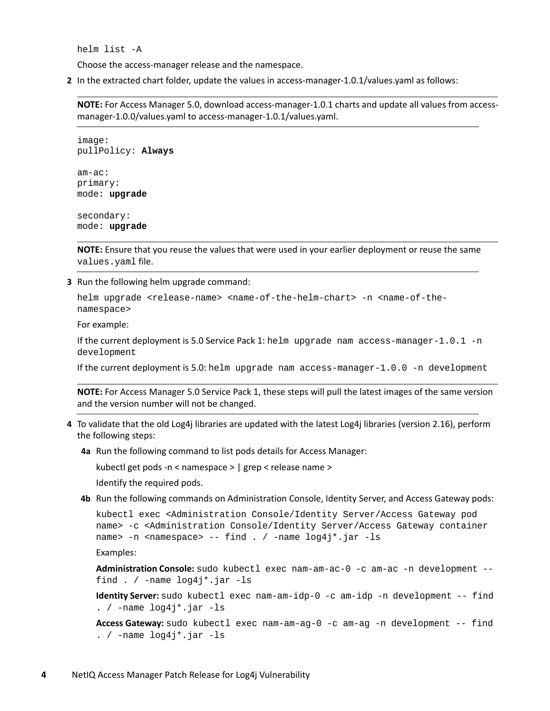helm list -A

Choose the access-manager release and the namespace.

**2** In the extracted chart folder, update the values in access-manager-1.0.1/values.yaml as follows:

**NOTE:** For Access Manager 5.0, download access-manager-1.0.1 charts and update all values from accessmanager-1.0.0/values.yaml to access-manager-1.0.1/values.yaml.

image: pullPolicy: **Always** am-ac: primary: mode: **upgrade**

secondary: mode: **upgrade**

**NOTE:** Ensure that you reuse the values that were used in your earlier deployment or reuse the same values.yaml file.

**3** Run the following helm upgrade command:

helm upgrade <release-name> <name-of-the-helm-chart> -n <name-of-thenamespace>

For example:

If the current deployment is 5.0 Service Pack 1: helm upgrade nam access-manager-1.0.1 -n development

If the current deployment is 5.0: helm upgrade nam access-manager-1.0.0 -n development

**NOTE:** For Access Manager 5.0 Service Pack 1, these steps will pull the latest images of the same version and the version number will not be changed.

- **4** To validate that the old Log4j libraries are updated with the latest Log4j libraries (version 2.16), perform the following steps:
	- **4a** Run the following command to list pods details for Access Manager:

kubectl get pods -n < namespace > | grep < release name >

Identify the required pods.

**4b** Run the following commands on Administration Console, Identity Server, and Access Gateway pods:

```
kubectl exec <Administration Console/Identity Server/Access Gateway pod 
name> -c <Administration Console/Identity Server/Access Gateway container 
name> -n <namespace> -- find . / -name log4j*.jar -ls
```
Examples:

```
Administration Console: sudo kubectl exec nam-am-ac-0 -c am-ac -n development -- 
find . / -name log4j*.jar -ls
```
**Identity Server:** sudo kubectl exec nam-am-idp-0 -c am-idp -n development -- find . / -name log4j\*.jar -ls

**Access Gateway:** sudo kubectl exec nam-am-ag-0 -c am-ag -n development -- find . / -name log4j\*.jar -ls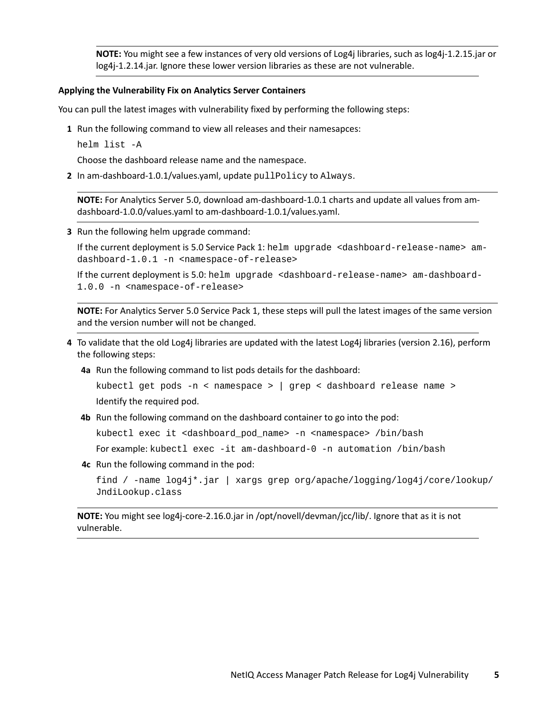**NOTE:** You might see a few instances of very old versions of Log4j libraries, such as log4j-1.2.15.jar or log4j-1.2.14.jar. Ignore these lower version libraries as these are not vulnerable.

#### <span id="page-4-0"></span>**Applying the Vulnerability Fix on Analytics Server Containers**

You can pull the latest images with vulnerability fixed by performing the following steps:

- **1** Run the following command to view all releases and their namesapces:
	- helm list -A

Choose the dashboard release name and the namespace.

**2** In am-dashboard-1.0.1/values.yaml, update pullPolicy to Always.

**NOTE:** For Analytics Server 5.0, download am-dashboard-1.0.1 charts and update all values from amdashboard-1.0.0/values.yaml to am-dashboard-1.0.1/values.yaml.

**3** Run the following helm upgrade command:

If the current deployment is 5.0 Service Pack 1: helm upgrade <dashboard-release-name> amdashboard-1.0.1 -n <namespace-of-release>

If the current deployment is 5.0: helm upgrade <dashboard-release-name> am-dashboard-1.0.0 -n <namespace-of-release>

**NOTE:** For Analytics Server 5.0 Service Pack 1, these steps will pull the latest images of the same version and the version number will not be changed.

- **4** To validate that the old Log4j libraries are updated with the latest Log4j libraries (version 2.16), perform the following steps:
	- **4a** Run the following command to list pods details for the dashboard:

```
kubectl get pods -n < namespace > | grep < dashboard release name >
Identify the required pod.
```
**4b** Run the following command on the dashboard container to go into the pod:

kubectl exec it <dashboard\_pod\_name> -n <namespace> /bin/bash

For example: kubectl exec -it am-dashboard-0 -n automation /bin/bash

**4c** Run the following command in the pod:

```
find / -name log4j*.jar | xargs grep org/apache/logging/log4j/core/lookup/
JndiLookup.class
```
**NOTE:** You might see log4j-core-2.16.0.jar in /opt/novell/devman/jcc/lib/. Ignore that as it is not vulnerable.